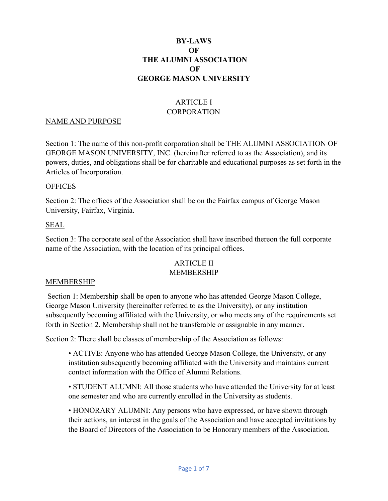### **BY-LAWS OF THE ALUMNI ASSOCIATION OF GEORGE MASON UNIVERSITY**

# ARTICLE I **CORPORATION**

#### NAME AND PURPOSE

Section 1: The name of this non-profit corporation shall be THE ALUMNI ASSOCIATION OF GEORGE MASON UNIVERSITY, INC. (hereinafter referred to as the Association), and its powers, duties, and obligations shall be for charitable and educational purposes as set forth in the Articles of Incorporation.

#### **OFFICES**

Section 2: The offices of the Association shall be on the Fairfax campus of George Mason University, Fairfax, Virginia.

#### SEAL

Section 3: The corporate seal of the Association shall have inscribed thereon the full corporate name of the Association, with the location of its principal offices.

# ARTICLE II

#### MEMBERSHIP

#### MEMBERSHIP

Section 1: Membership shall be open to anyone who has attended George Mason College, George Mason University (hereinafter referred to as the University), or any institution subsequently becoming affiliated with the University, or who meets any of the requirements set forth in Section 2. Membership shall not be transferable or assignable in any manner.

Section 2: There shall be classes of membership of the Association as follows:

• ACTIVE: Anyone who has attended George Mason College, the University, or any institution subsequently becoming affiliated with the University and maintains current contact information with the Office of Alumni Relations.

• STUDENT ALUMNI: All those students who have attended the University for at least one semester and who are currently enrolled in the University as students.

• HONORARY ALUMNI: Any persons who have expressed, or have shown through their actions, an interest in the goals of the Association and have accepted invitations by the Board of Directors of the Association to be Honorary members of the Association.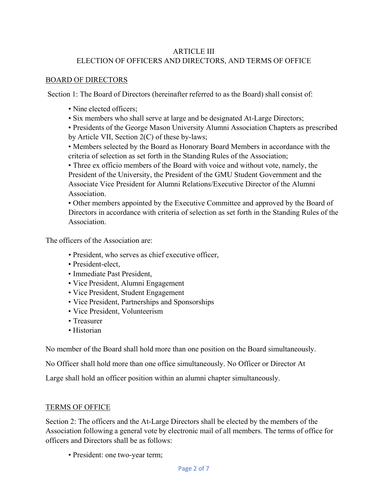# ARTICLE III ELECTION OF OFFICERS AND DIRECTORS, AND TERMS OF OFFICE

#### BOARD OF DIRECTORS

Section 1: The Board of Directors (hereinafter referred to as the Board) shall consist of:

- Nine elected officers:
- Six members who shall serve at large and be designated At-Large Directors;

• Presidents of the George Mason University Alumni Association Chapters as prescribed by Article VII, Section 2(C) of these by-laws;

• Members selected by the Board as Honorary Board Members in accordance with the criteria of selection as set forth in the Standing Rules of the Association;

• Three ex officio members of the Board with voice and without vote, namely, the President of the University, the President of the GMU Student Government and the Associate Vice President for Alumni Relations/Executive Director of the Alumni Association.

• Other members appointed by the Executive Committee and approved by the Board of Directors in accordance with criteria of selection as set forth in the Standing Rules of the Association.

The officers of the Association are:

- President, who serves as chief executive officer,
- President-elect,
- Immediate Past President,
- Vice President, Alumni Engagement
- Vice President, Student Engagement
- Vice President, Partnerships and Sponsorships
- Vice President, Volunteerism
- Treasurer
- Historian

No member of the Board shall hold more than one position on the Board simultaneously.

No Officer shall hold more than one office simultaneously. No Officer or Director At

Large shall hold an officer position within an alumni chapter simultaneously.

#### TERMS OF OFFICE

Section 2: The officers and the At-Large Directors shall be elected by the members of the Association following a general vote by electronic mail of all members. The terms of office for officers and Directors shall be as follows:

• President: one two-year term;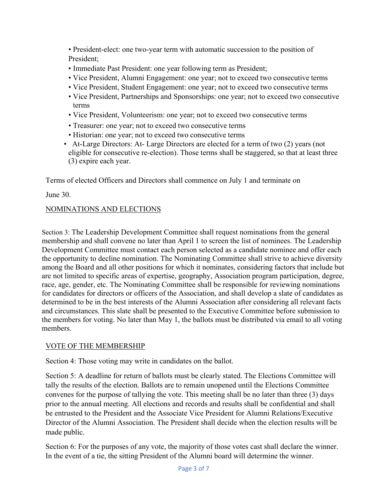• President-elect: one two-year term with automatic succession to the position of President;

- Immediate Past President: one year following term as President;
- Vice President, Alumni Engagement: one year; not to exceed two consecutive terms
- Vice President, Student Engagement: one year; not to exceed two consecutive terms
- Vice President, Partnerships and Sponsorships: one year; not to exceed two consecutive terms
- Vice President, Volunteerism: one year; not to exceed two consecutive terms
- Treasurer: one year; not to exceed two consecutive terms
- Historian: one year; not to exceed two consecutive terms
- At-Large Directors: At- Large Directors are elected for a term of two (2) years (not eligible for consecutive re-election). Those terms shall be staggered, so that at least three (3) expire each year.

Terms of elected Officers and Directors shall commence on July 1 and terminate on

June 30.

### NOMINATIONS AND ELECTIONS

Section 3: The Leadership Development Committee shall request nominations from the general membership and shall convene no later than April 1 to screen the list of nominees. The Leadership Development Committee must contact each person selected as a candidate nominee and offer each the opportunity to decline nomination. The Nominating Committee shall strive to achieve diversity among the Board and all other positions for which it nominates, considering factors that include but are not limited to specific areas of expertise, geography, Association program participation, degree, race, age, gender, etc. The Nominating Committee shall be responsible for reviewing nominations for candidates for directors or officers of the Association, and shall develop a slate of candidates as determined to be in the best interests of the Alumni Association after considering all relevant facts and circumstances. This slate shall be presented to the Executive Committee before submission to the members for voting. No later than May 1, the ballots must be distributed via email to all voting members.

# VOTE OF THE MEMBERSHIP

Section 4: Those voting may write in candidates on the ballot.

Section 5: A deadline for return of ballots must be clearly stated. The Elections Committee will tally the results of the election. Ballots are to remain unopened until the Elections Committee convenes for the purpose of tallying the vote. This meeting shall be no later than three (3) days prior to the annual meeting. All elections and records and results shall be confidential and shall be entrusted to the President and the Associate Vice President for Alumni Relations/Executive Director of the Alumni Association. The President shall decide when the election results will be made public.

Section 6: For the purposes of any vote, the majority of those votes cast shall declare the winner. In the event of a tie, the sitting President of the Alumni board will determine the winner.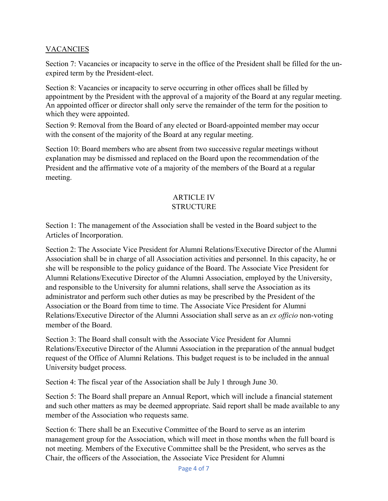# VACANCIES

Section 7: Vacancies or incapacity to serve in the office of the President shall be filled for the unexpired term by the President-elect.

Section 8: Vacancies or incapacity to serve occurring in other offices shall be filled by appointment by the President with the approval of a majority of the Board at any regular meeting. An appointed officer or director shall only serve the remainder of the term for the position to which they were appointed.

Section 9: Removal from the Board of any elected or Board-appointed member may occur with the consent of the majority of the Board at any regular meeting.

Section 10: Board members who are absent from two successive regular meetings without explanation may be dismissed and replaced on the Board upon the recommendation of the President and the affirmative vote of a majority of the members of the Board at a regular meeting.

#### ARTICLE IV **STRUCTURE**

Section 1: The management of the Association shall be vested in the Board subject to the Articles of Incorporation.

Section 2: The Associate Vice President for Alumni Relations/Executive Director of the Alumni Association shall be in charge of all Association activities and personnel. In this capacity, he or she will be responsible to the policy guidance of the Board. The Associate Vice President for Alumni Relations/Executive Director of the Alumni Association, employed by the University, and responsible to the University for alumni relations, shall serve the Association as its administrator and perform such other duties as may be prescribed by the President of the Association or the Board from time to time. The Associate Vice President for Alumni Relations/Executive Director of the Alumni Association shall serve as an *ex officio* non-voting member of the Board.

Section 3: The Board shall consult with the Associate Vice President for Alumni Relations/Executive Director of the Alumni Association in the preparation of the annual budget request of the Office of Alumni Relations. This budget request is to be included in the annual University budget process.

Section 4: The fiscal year of the Association shall be July 1 through June 30.

Section 5: The Board shall prepare an Annual Report, which will include a financial statement and such other matters as may be deemed appropriate. Said report shall be made available to any member of the Association who requests same.

Section 6: There shall be an Executive Committee of the Board to serve as an interim management group for the Association, which will meet in those months when the full board is not meeting. Members of the Executive Committee shall be the President, who serves as the Chair, the officers of the Association, the Associate Vice President for Alumni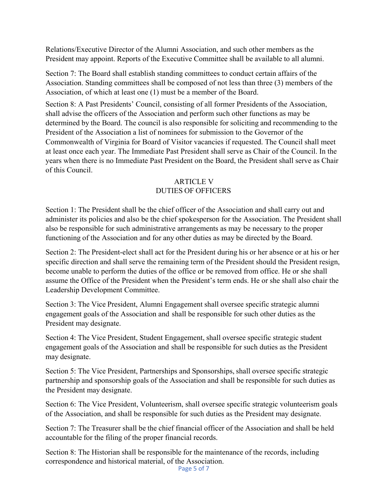Relations/Executive Director of the Alumni Association, and such other members as the President may appoint. Reports of the Executive Committee shall be available to all alumni.

Section 7: The Board shall establish standing committees to conduct certain affairs of the Association. Standing committees shall be composed of not less than three (3) members of the Association, of which at least one (1) must be a member of the Board.

Section 8: A Past Presidents' Council, consisting of all former Presidents of the Association, shall advise the officers of the Association and perform such other functions as may be determined by the Board. The council is also responsible for soliciting and recommending to the President of the Association a list of nominees for submission to the Governor of the Commonwealth of Virginia for Board of Visitor vacancies if requested. The Council shall meet at least once each year. The Immediate Past President shall serve as Chair of the Council. In the years when there is no Immediate Past President on the Board, the President shall serve as Chair of this Council.

### ARTICLE V DUTIES OF OFFICERS

Section 1: The President shall be the chief officer of the Association and shall carry out and administer its policies and also be the chief spokesperson for the Association. The President shall also be responsible for such administrative arrangements as may be necessary to the proper functioning of the Association and for any other duties as may be directed by the Board.

Section 2: The President-elect shall act for the President during his or her absence or at his or her specific direction and shall serve the remaining term of the President should the President resign, become unable to perform the duties of the office or be removed from office. He or she shall assume the Office of the President when the President's term ends. He or she shall also chair the Leadership Development Committee.

Section 3: The Vice President, Alumni Engagement shall oversee specific strategic alumni engagement goals of the Association and shall be responsible for such other duties as the President may designate.

Section 4: The Vice President, Student Engagement, shall oversee specific strategic student engagement goals of the Association and shall be responsible for such duties as the President may designate.

Section 5: The Vice President, Partnerships and Sponsorships, shall oversee specific strategic partnership and sponsorship goals of the Association and shall be responsible for such duties as the President may designate.

Section 6: The Vice President, Volunteerism, shall oversee specific strategic volunteerism goals of the Association, and shall be responsible for such duties as the President may designate.

Section 7: The Treasurer shall be the chief financial officer of the Association and shall be held accountable for the filing of the proper financial records.

Section 8: The Historian shall be responsible for the maintenance of the records, including correspondence and historical material, of the Association.

Page 5 of 7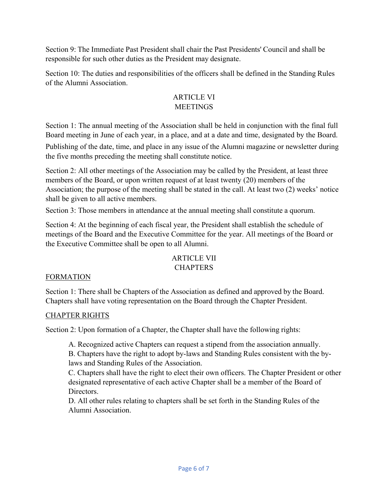Section 9: The Immediate Past President shall chair the Past Presidents' Council and shall be responsible for such other duties as the President may designate.

Section 10: The duties and responsibilities of the officers shall be defined in the Standing Rules of the Alumni Association.

# ARTICLE VI **MEETINGS**

Section 1: The annual meeting of the Association shall be held in conjunction with the final full Board meeting in June of each year, in a place, and at a date and time, designated by the Board.

Publishing of the date, time, and place in any issue of the Alumni magazine or newsletter during the five months preceding the meeting shall constitute notice.

Section 2: All other meetings of the Association may be called by the President, at least three members of the Board, or upon written request of at least twenty (20) members of the Association; the purpose of the meeting shall be stated in the call. At least two (2) weeks' notice shall be given to all active members.

Section 3: Those members in attendance at the annual meeting shall constitute a quorum.

Section 4: At the beginning of each fiscal year, the President shall establish the schedule of meetings of the Board and the Executive Committee for the year. All meetings of the Board or the Executive Committee shall be open to all Alumni.

### ARTICLE VII **CHAPTERS**

# FORMATION

Section 1: There shall be Chapters of the Association as defined and approved by the Board. Chapters shall have voting representation on the Board through the Chapter President.

# CHAPTER RIGHTS

Section 2: Upon formation of a Chapter, the Chapter shall have the following rights:

A. Recognized active Chapters can request a stipend from the association annually.

B. Chapters have the right to adopt by-laws and Standing Rules consistent with the bylaws and Standing Rules of the Association.

C. Chapters shall have the right to elect their own officers. The Chapter President or other designated representative of each active Chapter shall be a member of the Board of Directors.

D. All other rules relating to chapters shall be set forth in the Standing Rules of the Alumni Association.